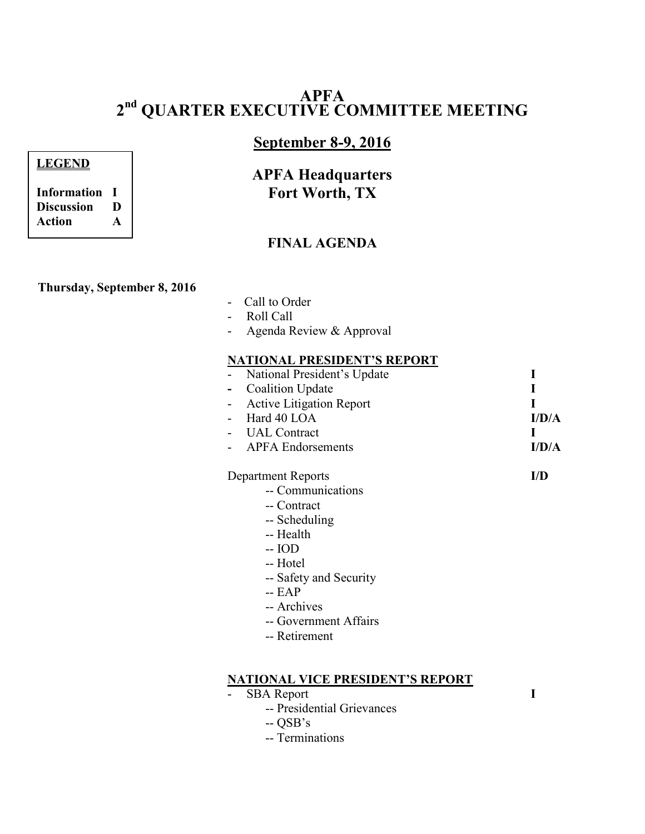# **APFA 2 nd QUARTER EXECUTIVE COMMITTEE MEETING**

# **September 8-9, 2016**

# **APFA Headquarters Fort Worth, TX**

## **FINAL AGENDA**

### **Thursday, September 8, 2016**

- Call to Order
- Roll Call
- Agenda Review & Approval

#### **NATIONAL PRESIDENT'S REPORT**

| - National President's Update |       |
|-------------------------------|-------|
| - Coalition Update            |       |
| - Active Litigation Report    |       |
| - Hard $40$ LOA               | I/D/A |
| - UAL Contract                |       |
| - APFA Endorsements           | I/D/A |

#### Department Reports **I/D**

- -- Communications
- -- Contract
- -- Scheduling
- -- Health
- -- IOD
- -- Hotel
- -- Safety and Security
- -- EAP
- -- Archives
- -- Government Affairs
- -- Retirement

#### **NATIONAL VICE PRESIDENT'S REPORT**

- SBA Report **I** 
	- -- Presidential Grievances
	- $-$  OSB's
	- -- Terminations

**Information I Discussion D Action A**

**LEGEND**